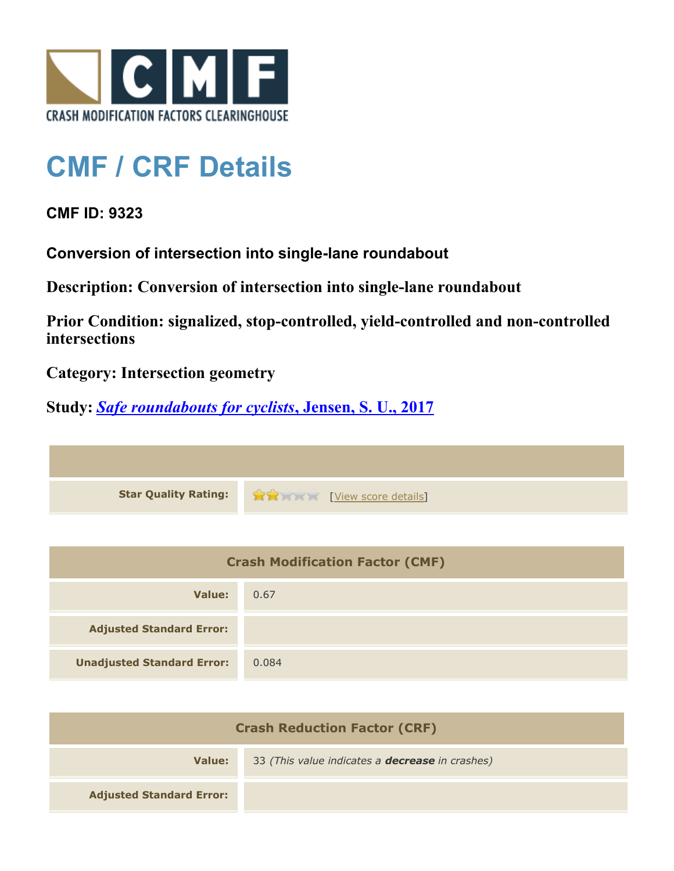

## **CMF / CRF Details**

**CMF ID: 9323**

**Conversion of intersection into single-lane roundabout**

**Description: Conversion of intersection into single-lane roundabout**

**Prior Condition: signalized, stop-controlled, yield-controlled and non-controlled intersections**

**Category: Intersection geometry**

**Study:** *[Safe roundabouts for cyclists](http://www.cmfclearinghouse.org/study_detail.cfm?stid=516)***[, Jensen, S. U., 2017](http://www.cmfclearinghouse.org/study_detail.cfm?stid=516)**

**Star Quality Rating:**  $\mathbf{\hat{x}}$   $\mathbf{\hat{y}}$  [[View score details](http://www.cmfclearinghouse.org/score_details.cfm?facid=9323)]

| <b>Crash Modification Factor (CMF)</b> |       |
|----------------------------------------|-------|
| Value:                                 | 0.67  |
| <b>Adjusted Standard Error:</b>        |       |
| <b>Unadjusted Standard Error:</b>      | 0.084 |

| <b>Crash Reduction Factor (CRF)</b> |                                                        |
|-------------------------------------|--------------------------------------------------------|
| Value:                              | 33 (This value indicates a <b>decrease</b> in crashes) |
| <b>Adjusted Standard Error:</b>     |                                                        |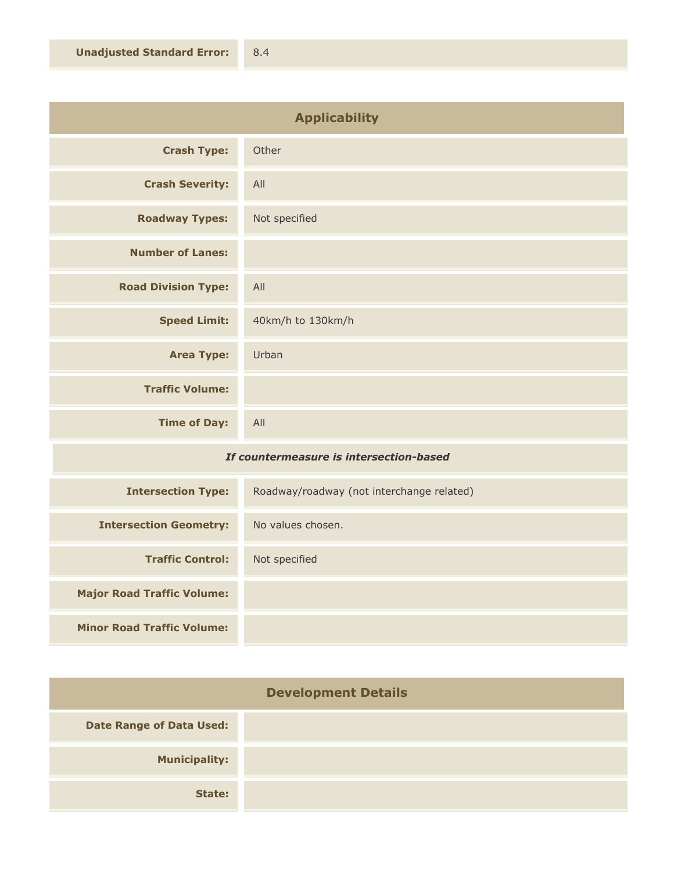| <b>Applicability</b>       |                   |
|----------------------------|-------------------|
| <b>Crash Type:</b>         | Other             |
| <b>Crash Severity:</b>     | All               |
| <b>Roadway Types:</b>      | Not specified     |
| <b>Number of Lanes:</b>    |                   |
| <b>Road Division Type:</b> | All               |
| <b>Speed Limit:</b>        | 40km/h to 130km/h |
| <b>Area Type:</b>          | Urban             |
| <b>Traffic Volume:</b>     |                   |
| <b>Time of Day:</b>        | All               |

## *If countermeasure is intersection-based*

| <b>Intersection Type:</b>         | Roadway/roadway (not interchange related) |
|-----------------------------------|-------------------------------------------|
| <b>Intersection Geometry:</b>     | No values chosen.                         |
| <b>Traffic Control:</b>           | Not specified                             |
| <b>Major Road Traffic Volume:</b> |                                           |
| <b>Minor Road Traffic Volume:</b> |                                           |

| <b>Development Details</b>      |  |
|---------------------------------|--|
| <b>Date Range of Data Used:</b> |  |
| <b>Municipality:</b>            |  |
| State:                          |  |